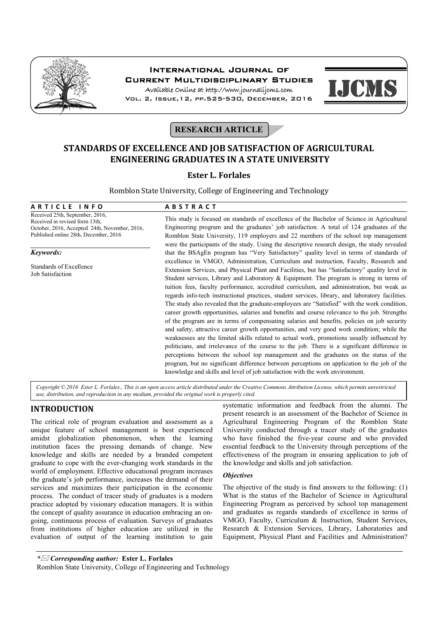

# International Journal of Current Multidisciplinary Studies

Available Online at http://www.journalijcms.com Vol. 2, Issue,12, pp.525-530, December, 2016



**RESEARCH ARTICLE** 

# **STANDARDS OF EXCELLENCE AND JOB SATISFACTION OF AGRICULTURAL ENGINEERING GRADUATES IN A STATE UNIVERSITY**

## **Ester L. Forlales**

Romblon State University, College of Engineering and Technology

| ARTICLE INFO                                                      | <b>ABSTRACT</b>                                                                                                                                                                      |
|-------------------------------------------------------------------|--------------------------------------------------------------------------------------------------------------------------------------------------------------------------------------|
| Received 25th, September, 2016,<br>Received in revised form 13th. | This study is focused on standards of excellence of the Bachelor of Science in Agricultural                                                                                          |
| October, 2016, Accepted 24th, November, 2016,                     | Engineering program and the graduates' job satisfaction. A total of 124 graduates of the                                                                                             |
| Published online 28th, December, 2016                             | Romblon State University, 119 employers and 22 members of the school top management<br>were the participants of the study. Using the descriptive research design, the study revealed |
|                                                                   |                                                                                                                                                                                      |
| Keywords:                                                         | that the BSAgEn program has "Very Satisfactory" quality level in terms of standards of                                                                                               |
| Standards of Excellence                                           | excellence in VMGO, Administration, Curriculum and instruction, Faculty, Research and                                                                                                |
| <b>Job Satisfaction</b>                                           | Extension Services, and Physical Plant and Facilities, but has "Satisfactory" quality level in                                                                                       |
|                                                                   | Student services, Library and Laboratory & Equipment. The program is strong in terms of                                                                                              |
|                                                                   | tuition fees, faculty performance, accredited curriculum, and administration, but weak as                                                                                            |
|                                                                   | regards info-tech instructional practices, student services, library, and laboratory facilities.                                                                                     |
|                                                                   | The study also revealed that the graduate-employees are "Satisfied" with the work condition,                                                                                         |
|                                                                   | career growth opportunities, salaries and benefits and course relevance to the job. Strengths                                                                                        |
|                                                                   | of the program are in terms of compensating salaries and benefits, policies on job security                                                                                          |
|                                                                   | and safety, attractive career growth opportunities, and very good work condition; while the                                                                                          |
|                                                                   | weaknesses are the limited skills related to actual work, promotions usually influenced by                                                                                           |
|                                                                   | politicians, and irrelevance of the course to the job. There is a significant difference in                                                                                          |
|                                                                   | perceptions between the school top management and the graduates on the status of the                                                                                                 |
|                                                                   | program, but no significant difference between perceptions on application to the job of the                                                                                          |
|                                                                   | knowledge and skills and level of job satisfaction with the work environment.                                                                                                        |

*Copyright © 2016 Ester L. Forlales., This is an open access article distributed under the Creative Commons Attribution License, which permits unrestricted use, distribution, and reproduction in any medium, provided the original work is properly cited.*

# **INTRODUCTION**

The critical role of program evaluation and assessment as a unique feature of school management is best experienced amidst globalization phenomenon, when the learning institution faces the pressing demands of change. New knowledge and skills are needed by a branded competent graduate to cope with the ever-changing work standards in the world of employment. Effective educational program increases the graduate's job performance, increases the demand of their services and maximizes their participation in the economic process. The conduct of tracer study of graduates is a modern practice adopted by visionary education managers. It is within the concept of quality assurance in education embracing an ongoing, continuous process of evaluation. Surveys of graduates from institutions of higher education are utilized in the evaluation of output of the learning institution to gain

systematic information and feedback from the alumni. The present research is an assessment of the Bachelor of Science in Agricultural Engineering Program of the Romblon State University conducted through a tracer study of the graduates who have finished the five-year course and who provided essential feedback to the University through perceptions of the effectiveness of the program in ensuring application to job of the knowledge and skills and job satisfaction.

## *Objectives*

The objective of the study is find answers to the following: (1) What is the status of the Bachelor of Science in Agricultural Engineering Program as perceived by school top management and graduates as regards standards of excellence in terms of VMGO, Faculty, Curriculum & Instruction, Student Services, Research & Extension Services, Library, Laboratories and Equipment, Physical Plant and Facilities and Administration?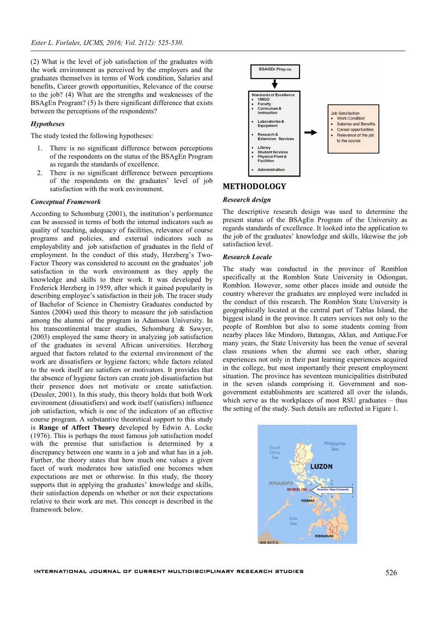(2) What is the level of job satisfaction of the graduates with the work environment as perceived by the employers and the graduates themselves in terms of Work condition, Salaries and benefits, Career growth opportunities, Relevance of the course to the job? (4) What are the strengths and weaknesses of the BSAgEn Program? (5) Is there significant difference that exists between the perceptions of the respondents?

## *Hypotheses*

The study tested the following hypotheses:

- 1. There is no significant difference between perceptions of the respondents on the status of the BSAgEn Program as regards the standards of excellence.
- 2. There is no significant difference between perceptions of the respondents on the graduates' level of job satisfaction with the work environment.

#### *Conceptual Framework*

According to Schomburg (2001), the institution's performance can be assessed in terms of both the internal indicators such as quality of teaching, adequacy of facilities, relevance of course programs and policies, and external indicators such as employability and job satisfaction of graduates in the field of employment. In the conduct of this study, Herzberg's Two-Factor Theory was considered to account on the graduates' job satisfaction in the work environment as they apply the knowledge and skills to their work. It was developed by Frederick Herzberg in 1959, after which it gained popularity in describing employee's satisfaction in their job. The tracer study of Bachelor of Science in Chemistry Graduates conducted by Santos (2004) used this theory to measure the job satisfaction among the alumni of the program in Adamson University. In his transcontinental tracer studies, Schomburg & Sawyer, (2003) employed the same theory in analyzing job satisfaction of the graduates in several African universities. Herzberg argued that factors related to the external environment of the work are dissatisfiers or hygiene factors; while factors related to the work itself are satisfiers or motivators. It provides that the absence of hygiene factors can create job dissatisfaction but their presence does not motivate or create satisfaction. (Dessler, 2001). In this study, this theory holds that both Work environment (dissatisfiers) and work itself (satisfiers) influence job satisfaction, which is one of the indicators of an effective course program. A substantive theoretical support to this study is **Range of Affect Theory** developed by Edwin A. Locke (1976). This is perhaps the most famous job satisfaction model with the premise that satisfaction is determined by a discrepancy between one wants in a job and what has in a job. Further, the theory states that how much one values a given facet of work moderates how satisfied one becomes when expectations are met or otherwise. In this study, the theory supports that in applying the graduates' knowledge and skills, their satisfaction depends on whether or not their expectations relative to their work are met. This concept is described in the framework below.



## **METHODOLOGY**

## *Research design*

The descriptive research design was used to determine the present status of the BSAgEn Program of the University as regards standards of excellence. It looked into the application to the job of the graduates' knowledge and skills, likewise the job satisfaction level.

#### *Research Locale*

The study was conducted in the province of Romblon specifically at the Romblon State University in Odiongan, Romblon. However, some other places inside and outside the country wherever the graduates are employed were included in the conduct of this research. The Romblon State University is geographically located at the central part of Tablas Island, the biggest island in the province. It caters services not only to the people of Romblon but also to some students coming from nearby places like Mindoro, Batangas, Aklan, and Antique.For many years, the State University has been the venue of several class reunions when the alumni see each other, sharing experiences not only in their past learning experiences acquired in the college, but most importantly their present employment situation. The province has seventeen municipalities distributed in the seven islands comprising it. Government and nongovernment establishments are scattered all over the islands, which serve as the workplaces of most RSU graduates – thus the setting of the study. Such details are reflected in Figure 1.

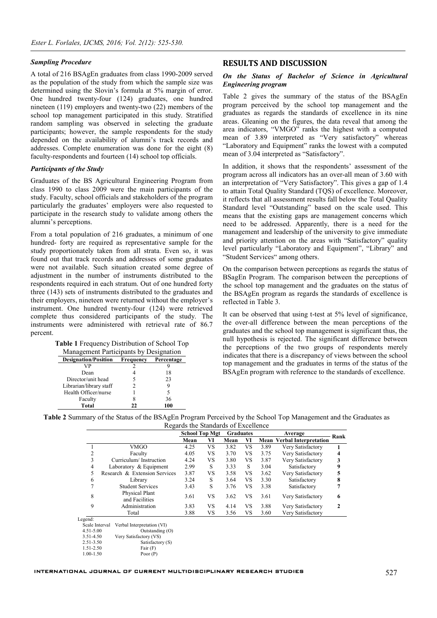#### *Sampling Procedure*

A total of 216 BSAgEn graduates from class 1990-2009 served as the population of the study from which the sample size was determined using the Slovin's formula at 5% margin of error. One hundred twenty-four (124) graduates, one hundred nineteen (119) employers and twenty-two (22) members of the school top management participated in this study. Stratified random sampling was observed in selecting the graduate participants; however, the sample respondents for the study depended on the availability of alumni's track records and addresses. Complete enumeration was done for the eight (8) faculty-respondents and fourteen (14) school top officials.

### *Participants of the Study*

Graduates of the BS Agricultural Engineering Program from class 1990 to class 2009 were the main participants of the study. Faculty, school officials and stakeholders of the program particularly the graduates' employers were also requested to participate in the research study to validate among others the alumni's perceptions.

From a total population of 216 graduates, a minimum of one hundred- forty are required as representative sample for the study proportionately taken from all strata. Even so, it was found out that track records and addresses of some graduates were not available. Such situation created some degree of adjustment in the number of instruments distributed to the respondents required in each stratum. Out of one hundred forty three (143) sets of instruments distributed to the graduates and their employers, nineteen were returned without the employer's instrument. One hundred twenty-four (124) were retrieved complete thus considered participants of the study. The instruments were administered with retrieval rate of 86.7 percent.

| Table 1 Frequency Distribution of School Top |  |  |  |  |  |
|----------------------------------------------|--|--|--|--|--|
|----------------------------------------------|--|--|--|--|--|

| Management Participants by Designation                 |    |     |  |  |  |  |  |
|--------------------------------------------------------|----|-----|--|--|--|--|--|
| <b>Designation/Position</b><br>Frequency<br>Percentage |    |     |  |  |  |  |  |
| VP                                                     |    |     |  |  |  |  |  |
| Dean                                                   |    | 18  |  |  |  |  |  |
| Director/unit head                                     |    | 23  |  |  |  |  |  |
| Librarian/library staff                                |    | g   |  |  |  |  |  |
| Health Officer/nurse                                   |    |     |  |  |  |  |  |
| Faculty                                                |    | 36  |  |  |  |  |  |
| Total                                                  | າາ | 100 |  |  |  |  |  |

#### **RESULTS AND DISCUSSION**

## *On the Status of Bachelor of Science in Agricultural Engineering program*

Table 2 gives the summary of the status of the BSAgEn program perceived by the school top management and the graduates as regards the standards of excellence in its nine areas. Gleaning on the figures, the data reveal that among the area indicators, "VMGO" ranks the highest with a computed mean of 3.89 interpreted as "Very satisfactory" whereas "Laboratory and Equipment" ranks the lowest with a computed mean of 3.04 interpreted as "Satisfactory".

In addition, it shows that the respondents' assessment of the program across all indicators has an over-all mean of 3.60 with an interpretation of "Very Satisfactory". This gives a gap of 1.4 to attain Total Quality Standard (TQS) of excellence. Moreover, it reflects that all assessment results fall below the Total Quality Standard level "Outstanding" based on the scale used. This means that the existing gaps are management concerns which need to be addressed. Apparently, there is a need for the management and leadership of the university to give immediate and priority attention on the areas with "Satisfactory" quality level particularly "Laboratory and Equipment", "Library" and "Student Services" among others.

On the comparison between perceptions as regards the status of BSagEn Program. The comparison between the perceptions of the school top management and the graduates on the status of the BSAgEn program as regards the standards of excellence is reflected in Table 3.

It can be observed that using t-test at 5% level of significance, the over-all difference between the mean perceptions of the graduates and the school top management is significant thus, the null hypothesis is rejected. The significant difference between the perceptions of the two groups of respondents merely indicates that there is a discrepancy of views between the school top management and the graduates in terms of the status of the BSAgEn program with reference to the standards of excellence.

| Table 2 Summary of the Status of the BSAgEn Program Perceived by the School Top Management and the Graduates as |  |
|-----------------------------------------------------------------------------------------------------------------|--|
| Regards the Standards of Excellence                                                                             |  |

|                | Regards the Blandards of Executive |                       |    |                  |           |      |                                   |              |  |  |
|----------------|------------------------------------|-----------------------|----|------------------|-----------|------|-----------------------------------|--------------|--|--|
|                |                                    | <b>School Top Mgt</b> |    | <b>Graduates</b> |           |      | Average                           |              |  |  |
|                |                                    | Mean                  | VI | Mean             | VI        |      | <b>Mean Verbal Interpretation</b> | Rank         |  |  |
|                | VMGO                               | 4.25                  | VS | 3.82             | <b>VS</b> | 3.89 | Very Satisfactory                 |              |  |  |
| 2              | Faculty                            | 4.05                  | VS | 3.70             | VS        | 3.75 | Very Satisfactory                 | 4            |  |  |
| 3              | Curriculum/Instruction             | 4.24                  | VS | 3.80             | VS        | 3.87 | Very Satisfactory                 | 3            |  |  |
| $\overline{4}$ | Laboratory & Equipment             | 2.99                  | S  | 3.33             | S         | 3.04 | Satisfactory                      | 9            |  |  |
| 5              | Research & Extension Services      | 3.87                  | VS | 3.58             | VS        | 3.62 | Very Satisfactory                 | 5            |  |  |
| 6              | Library                            | 3.24                  | S  | 3.64             | VS        | 3.30 | Satisfactory                      | 8            |  |  |
| 7              | <b>Student Services</b>            | 3.43                  | S  | 3.76             | VS        | 3.38 | Satisfactory                      |              |  |  |
| 8              | Physical Plant<br>and Facilities   | 3.61                  | VS | 3.62             | VS        | 3.61 | Very Satisfactory                 | 6            |  |  |
| 9              | Administration                     | 3.83                  | VS | 4.14             | VS.       | 3.88 | Very Satisfactory                 | $\mathbf{2}$ |  |  |
|                | Total                              | 3.88                  | VS | 3.56             | VS        | 3.60 | Very Satisfactory                 |              |  |  |
| Legend:        |                                    |                       |    |                  |           |      |                                   |              |  |  |
| Scale Interval | Verbal Interpretation (VI)         |                       |    |                  |           |      |                                   |              |  |  |
| $4.51 - 5.00$  | Outstanding $(O)$                  |                       |    |                  |           |      |                                   |              |  |  |
| 3.51-4.50      | Very Satisfactory (VS)             |                       |    |                  |           |      |                                   |              |  |  |
| 2.51-3.50      | Satisfactory (S)                   |                       |    |                  |           |      |                                   |              |  |  |

1.51-2.50 Fair (F)

 <sup>1.00-1.50</sup> Poor (P)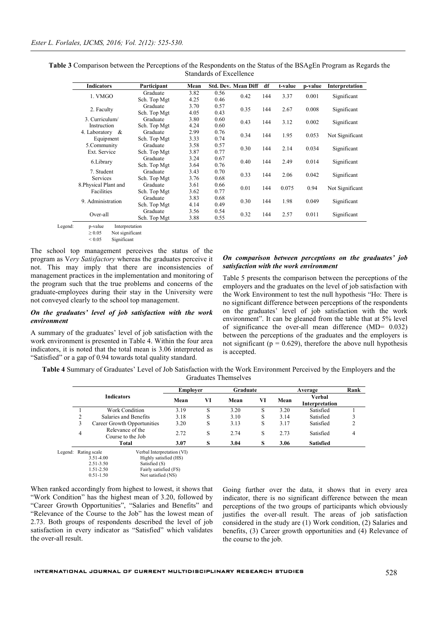| <b>Table 3</b> Comparison between the Perceptions of the Respondents on the Status of the BSAgEn Program as Regards the |  |
|-------------------------------------------------------------------------------------------------------------------------|--|
| Standards of Excellence                                                                                                 |  |
|                                                                                                                         |  |

| <b>Indicators</b>     | Participant  | Mean |      | <b>Std. Dev. Mean Diff</b> | df  | t-value | p-value | Interpretation  |
|-----------------------|--------------|------|------|----------------------------|-----|---------|---------|-----------------|
| 1. VMGO               | Graduate     | 3.82 | 0.56 | 0.42                       | 144 | 3.37    | 0.001   | Significant     |
|                       | Sch. Top Mgt | 4.25 | 0.46 |                            |     |         |         |                 |
| 2. Faculty            | Graduate     | 3.70 | 0.57 | 0.35                       | 144 | 2.67    | 0.008   | Significant     |
|                       | Sch. Top Mgt | 4.05 | 0.43 |                            |     |         |         |                 |
| 3. Curriculum/        | Graduate     | 3.80 | 0.60 | 0.43                       | 144 | 3.12    | 0.002   | Significant     |
| Instruction           | Sch. Top Mgt | 4.24 | 0.60 |                            |     |         |         |                 |
| 4. Laboratory &       | Graduate     | 2.99 | 0.76 | 0.34                       | 144 | 1.95    | 0.053   | Not Significant |
| Equipment             | Sch. Top Mgt | 3.33 | 0.74 |                            |     |         |         |                 |
| 5.Community           | Graduate     | 3.58 | 0.57 | 0.30                       | 144 | 2.14    | 0.034   | Significant     |
| Ext. Service          | Sch. Top Mgt | 3.87 | 0.77 |                            |     |         |         |                 |
| 6.Library             | Graduate     | 3.24 | 0.67 | 0.40                       | 144 | 2.49    | 0.014   | Significant     |
|                       | Sch. Top Mgt | 3.64 | 0.76 |                            |     |         |         |                 |
| 7. Student            | Graduate     | 3.43 | 0.70 | 0.33                       | 144 | 2.06    | 0.042   | Significant     |
| <b>Services</b>       | Sch. Top Mgt | 3.76 | 0.68 |                            |     |         |         |                 |
| 8. Physical Plant and | Graduate     | 3.61 | 0.66 | 0.01                       | 144 | 0.075   | 0.94    | Not Significant |
| Facilities            | Sch. Top Mgt | 3.62 | 0.77 |                            |     |         |         |                 |
| 9. Administration     | Graduate     | 3.83 | 0.68 | 0.30                       | 144 | 1.98    | 0.049   | Significant     |
|                       | Sch. Top Mgt | 4.14 | 0.49 |                            |     |         |         |                 |
| Over-all              | Graduate     | 3.56 | 0.54 | 0.32                       | 144 |         | 0.011   |                 |
|                       | Sch. Top Mgt | 3.88 | 0.55 |                            |     | 2.57    |         | Significant     |

Legend: p-value Interpretation  $\geq 0.05$  Not significant<br> $\leq 0.05$  Significant Significant

The school top management perceives the status of the program as V*ery Satisfactory* whereas the graduates perceive it not. This may imply that there are inconsistencies of management practices in the implementation and monitoring of the program such that the true problems and concerns of the graduate-employees during their stay in the University were not conveyed clearly to the school top management.

### *On the graduates' level of job satisfaction with the work environment*

A summary of the graduates' level of job satisfaction with the work environment is presented in Table 4. Within the four area indicators, it is noted that the total mean is 3.06 interpreted as "Satisfied" or a gap of 0.94 towards total quality standard.

### *On comparison between perceptions on the graduates' job satisfaction with the work environment*

Table 5 presents the comparison between the perceptions of the employers and the graduates on the level of job satisfaction with the Work Environment to test the null hypothesis "Ho: There is no significant difference between perceptions of the respondents on the graduates' level of job satisfaction with the work environment". It can be gleaned from the table that at 5% level of significance the over-all mean difference (MD= 0.032) between the perceptions of the graduates and the employers is not significant ( $p = 0.629$ ), therefore the above null hypothesis is accepted.

**Table 4** Summary of Graduates' Level of Job Satisfaction with the Work Environment Perceived by the Employers and the Graduates Themselves

|         |   |                   | Graduate<br><b>Employer</b>           |      |    | Average | Rank |      |                          |   |
|---------|---|-------------------|---------------------------------------|------|----|---------|------|------|--------------------------|---|
|         |   | <b>Indicators</b> |                                       | Mean | VI | Mean    | VI   | Mean | Verbal<br>Interpretation |   |
|         |   |                   | Work Condition                        | 3.19 | S  | 3.20    | S    | 3.20 | Satisfied                |   |
|         | ∍ |                   | Salaries and Benefits                 | 3.18 | S  | 3.10    | S    | 3.14 | Satisfied                |   |
|         | 3 |                   | Career Growth Opportunities           | 3.20 | S  | 3.13    | S    | 3.17 | Satisfied                |   |
|         | 4 |                   | Relevance of the<br>Course to the Job | 2.72 | S  | 2.74    | S    | 2.73 | Satisfied                | 4 |
|         |   |                   | Total                                 | 3.07 | S  | 3.04    | S    | 3.06 | <b>Satisfied</b>         |   |
| Legend: |   | Rating scale      | Verbal Interpretation (VI)            |      |    |         |      |      |                          |   |
|         |   | 3.51-4.00         | Highly satisfied (HS)                 |      |    |         |      |      |                          |   |
|         |   | 2.51-3.50         | Satisfied (S)                         |      |    |         |      |      |                          |   |
|         |   | 1.51-2.50         | Fairly satisfied (FS)                 |      |    |         |      |      |                          |   |
|         |   | $0.51 - 1.50$     | Not satisfied (NS)                    |      |    |         |      |      |                          |   |

When ranked accordingly from highest to lowest, it shows that "Work Condition" has the highest mean of 3.20, followed by "Career Growth Opportunities", "Salaries and Benefits" and "Relevance of the Course to the Job" has the lowest mean of 2.73. Both groups of respondents described the level of job satisfaction in every indicator as "Satisfied" which validates the over-all result.

Going further over the data, it shows that in every area indicator, there is no significant difference between the mean perceptions of the two groups of participants which obviously justifies the over-all result. The areas of job satisfaction considered in the study are (1) Work condition, (2) Salaries and benefits, (3) Career growth opportunities and (4) Relevance of the course to the job.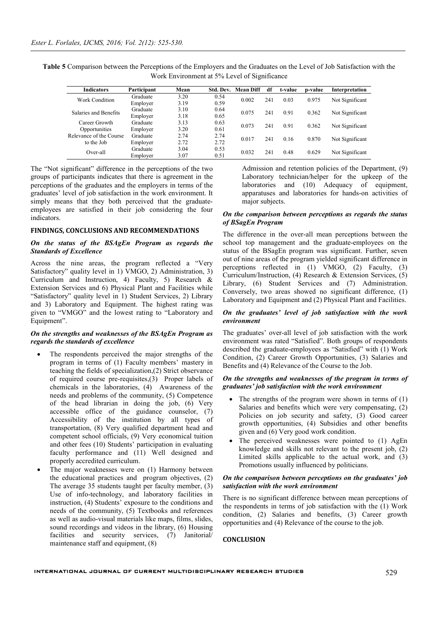| Table 5 Comparison between the Perceptions of the Employers and the Graduates on the Level of Job Satisfaction with the |
|-------------------------------------------------------------------------------------------------------------------------|
| Work Environment at 5% Level of Significance                                                                            |

| <b>Indicators</b>       | Participant | Mean | Std. Dev. | <b>Mean Diff</b> | df           | t-value | p-value | Interpretation  |
|-------------------------|-------------|------|-----------|------------------|--------------|---------|---------|-----------------|
| Work Condition          | Graduate    | 3.20 | 0.54      | 0.002            | 241          | 0.03    | 0.975   | Not Significant |
|                         | Employer    | 3.19 | 0.59      |                  |              |         |         |                 |
| Salaries and Benefits   | Graduate    | 3.10 | 0.64      | 0.075            | 241          | 0.91    | 0.362   | Not Significant |
|                         | Employer    | 3.18 | 0.65      |                  |              |         |         |                 |
| Career Growth           | Graduate    | 3.13 | 0.63      | 0.073            | 241          | 0.91    | 0.362   | Not Significant |
| Opportunities           | Employer    | 3.20 | 0.61      |                  |              |         |         |                 |
| Relevance of the Course | Graduate    | 2.74 | 2.74      | 0.017            | 241          | 0.16    | 0.870   | Not Significant |
| to the Job              | Employer    | 2.72 | 2.72      |                  |              |         |         |                 |
| Over-all                | Graduate    | 3.04 | 0.53      |                  | 0.032<br>241 | 0.48    | 0.629   | Not Significant |
|                         | Employer    | 3.07 | 0.51      |                  |              |         |         |                 |

The "Not significant" difference in the perceptions of the two groups of participants indicates that there is agreement in the perceptions of the graduates and the employers in terms of the graduates' level of job satisfaction in the work environment. It simply means that they both perceived that the graduateemployees are satisfied in their job considering the four indicators.

#### **FINDINGS, CONCLUSIONS AND RECOMMENDATIONS**

#### *On the status of the BSAgEn Program as regards the Standards of Excellence*

Across the nine areas, the program reflected a "Very Satisfactory" quality level in 1) VMGO, 2) Administration, 3) Curriculum and Instruction, 4) Faculty, 5) Research & Extension Services and 6) Physical Plant and Facilities while "Satisfactory" quality level in 1) Student Services, 2) Library and 3) Laboratory and Equipment. The highest rating was given to "VMGO" and the lowest rating to "Laboratory and Equipment".

#### *On the strengths and weaknesses of the BSAgEn Program as regards the standards of excellence*

- The respondents perceived the major strengths of the program in terms of (1) Faculty members' mastery in teaching the fields of specialization,(2) Strict observance of required course pre-requisites,(3) Proper labels of chemicals in the laboratories, (4) Awareness of the needs and problems of the community, (5) Competence of the head librarian in doing the job, (6) Very accessible office of the guidance counselor, (7) Accessibility of the institution by all types of transportation, (8) Very qualified department head and competent school officials, (9) Very economical tuition and other fees (10) Students' participation in evaluating faculty performance and (11) Well designed and properly accredited curriculum.
- The major weaknesses were on (1) Harmony between the educational practices and program objectives, (2) The average 35 students taught per faculty member, (3) Use of info-technology, and laboratory facilities in instruction, (4) Students' exposure to the conditions and needs of the community, (5) Textbooks and references as well as audio-visual materials like maps, films, slides, sound recordings and videos in the library, (6) Housing facilities and security services, (7) Janitorial/ maintenance staff and equipment, (8)

Admission and retention policies of the Department, (9) Laboratory technician/helper for the upkeep of the laboratories and (10) Adequacy of equipment, apparatuses and laboratories for hands-on activities of major subjects.

#### *On the comparison between perceptions as regards the status of BSagEn Program*

The difference in the over-all mean perceptions between the school top management and the graduate-employees on the status of the BSagEn program was significant. Further, seven out of nine areas of the program yielded significant difference in perceptions reflected in (1) VMGO, (2) Faculty, (3) Curriculum/Instruction, (4) Research & Extension Services, (5) Library, (6) Student Services and (7) Administration. Conversely, two areas showed no significant difference, (1) Laboratory and Equipment and (2) Physical Plant and Facilities.

### *On the graduates' level of job satisfaction with the work environment*

The graduates' over-all level of job satisfaction with the work environment was rated "Satisfied". Both groups of respondents described the graduate-employees as "Satisfied" with (1) Work Condition, (2) Career Growth Opportunities, (3) Salaries and Benefits and (4) Relevance of the Course to the Job.

#### *On the strengths and weaknesses of the program in terms of graduates' job satisfaction with the work environment*

- The strengths of the program were shown in terms of  $(1)$ Salaries and benefits which were very compensating, (2) Policies on job security and safety, (3) Good career growth opportunities, (4) Subsidies and other benefits given and (6) Very good work condition.
- The perceived weaknesses were pointed to (1) AgEn knowledge and skills not relevant to the present job, (2) Limited skills applicable to the actual work, and (3) Promotions usually influenced by politicians.

#### *On the comparison between perceptions on the graduates' job satisfaction with the work environment*

There is no significant difference between mean perceptions of the respondents in terms of job satisfaction with the (1) Work condition, (2) Salaries and benefits, (3) Career growth opportunities and (4) Relevance of the course to the job.

#### **CONCLUSION**